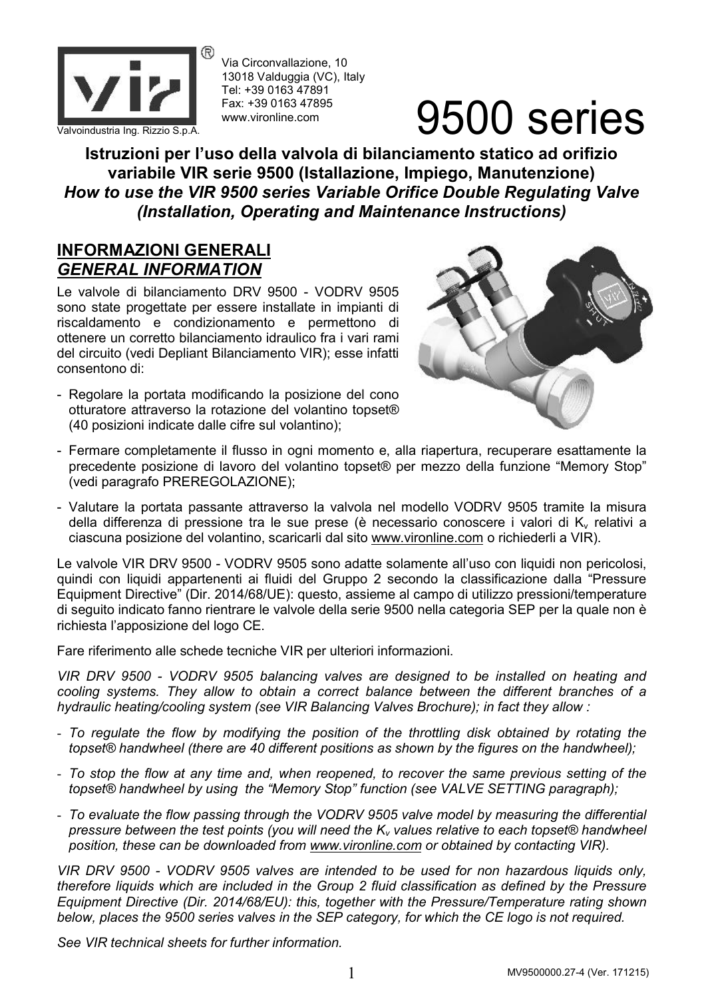

Via Circonvallazione, 10 13018 Valduggia (VC), Italy Tel: +39 0163 47891 Fax: +39 0163 47895 www.vironline.com

# $\frac{1}{\frac{2}{\frac{1}{2}}\left|\frac{1}{2}\right|}\sum_{\substack{F\text{ax}: +39.0163.47895\\ \text{www.vironline.com}}}$  9500 series

**Istruzioni per l'uso della valvola di bilanciamento statico ad orifizio variabile VIR serie 9500 (Istallazione, Impiego, Manutenzione)** *How to use the VIR 9500 series Variable Orifice Double Regulating Valve (Installation, Operating and Maintenance Instructions)*

### **INFORMAZIONI GENERALI** *GENERAL INFORMATION*

Le valvole di bilanciamento DRV 9500 - VODRV 9505 sono state progettate per essere installate in impianti di riscaldamento e condizionamento e permettono di ottenere un corretto bilanciamento idraulico fra i vari rami del circuito (vedi Depliant Bilanciamento VIR); esse infatti consentono di:

- Regolare la portata modificando la posizione del cono otturatore attraverso la rotazione del volantino topset® (40 posizioni indicate dalle cifre sul volantino);



- Fermare completamente il flusso in ogni momento e, alla riapertura, recuperare esattamente la precedente posizione di lavoro del volantino topset® per mezzo della funzione "Memory Stop" (vedi paragrafo PREREGOLAZIONE);
- Valutare la portata passante attraverso la valvola nel modello VODRV 9505 tramite la misura della differenza di pressione tra le sue prese (è necessario conoscere i valori di  $K_v$  relativi a ciascuna posizione del volantino, scaricarli dal sito www.vironline.com o richiederli a VIR).

Le valvole VIR DRV 9500 - VODRV 9505 sono adatte solamente all'uso con liquidi non pericolosi, quindi con liquidi appartenenti ai fluidi del Gruppo 2 secondo la classificazione dalla "Pressure Equipment Directive" (Dir. 2014/68/UE): questo, assieme al campo di utilizzo pressioni/temperature di seguito indicato fanno rientrare le valvole della serie 9500 nella categoria SEP per la quale non è richiesta l'apposizione del logo CE.

Fare riferimento alle schede tecniche VIR per ulteriori informazioni.

*VIR DRV 9500 - VODRV 9505 balancing valves are designed to be installed on heating and cooling systems. They allow to obtain a correct balance between the different branches of a hydraulic heating/cooling system (see VIR Balancing Valves Brochure); in fact they allow :*

- *To regulate the flow by modifying the position of the throttling disk obtained by rotating the topset® handwheel (there are 40 different positions as shown by the figures on the handwheel);*
- *To stop the flow at any time and, when reopened, to recover the same previous setting of the topset® handwheel by using the "Memory Stop" function (see VALVE SETTING paragraph);*
- *To evaluate the flow passing through the VODRV 9505 valve model by measuring the differential pressure between the test points (you will need the K<sup>v</sup> values relative to each topset® handwheel position, these can be downloaded from www.vironline.com or obtained by contacting VIR).*

*VIR DRV 9500 - VODRV 9505 valves are intended to be used for non hazardous liquids only, therefore liquids which are included in the Group 2 fluid classification as defined by the Pressure Equipment Directive (Dir. 2014/68/EU): this, together with the Pressure/Temperature rating shown below, places the 9500 series valves in the SEP category, for which the CE logo is not required.*

*See VIR technical sheets for further information.*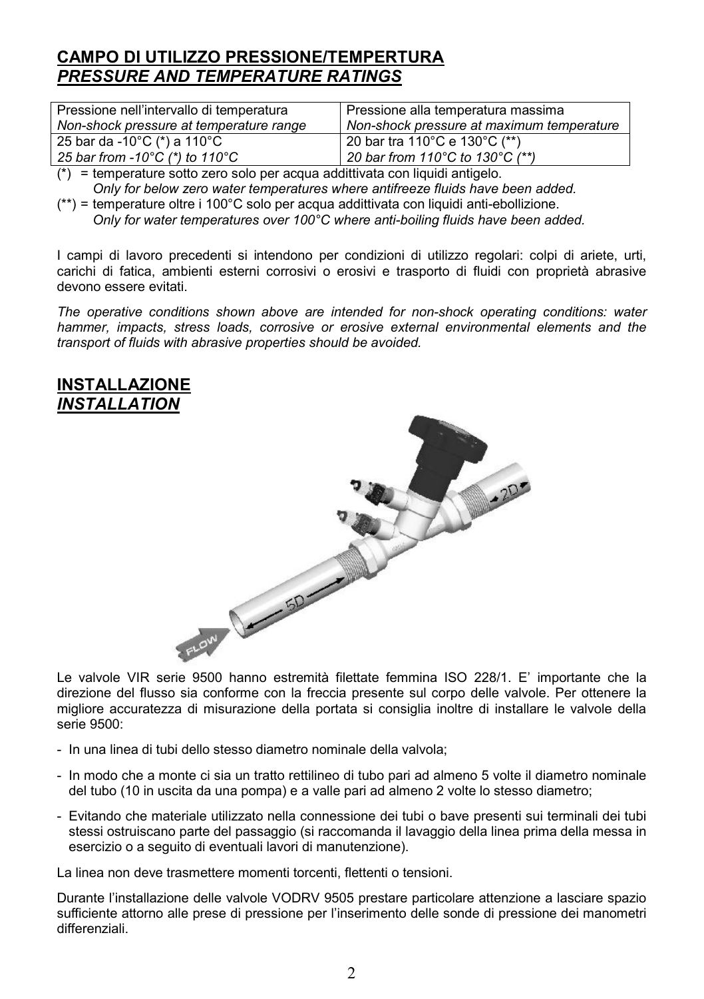## **CAMPO DI UTILIZZO PRESSIONE/TEMPERTURA** *PRESSURE AND TEMPERATURE RATINGS*

| Pressione nell'intervallo di temperatura | Pressione alla temperatura massima         |
|------------------------------------------|--------------------------------------------|
| Non-shock pressure at temperature range  | Non-shock pressure at maximum temperature  |
| 25 bar da -10°C (*) a 110°C              | <sup>1</sup> 20 bar tra 110°C e 130°C (**) |
| 25 bar from -10°C (*) to 110°C           | 20 bar from 110°C to 130°C (**)            |

(\*) = temperature sotto zero solo per acqua addittivata con liquidi antigelo. *Only for below zero water temperatures where antifreeze fluids have been added.*

(\*\*) = temperature oltre i 100°C solo per acqua addittivata con liquidi anti-ebollizione. *Only for water temperatures over 100°C where anti-boiling fluids have been added.*

I campi di lavoro precedenti si intendono per condizioni di utilizzo regolari: colpi di ariete, urti, carichi di fatica, ambienti esterni corrosivi o erosivi e trasporto di fluidi con proprietà abrasive devono essere evitati.

*The operative conditions shown above are intended for non-shock operating conditions: water hammer, impacts, stress loads, corrosive or erosive external environmental elements and the transport of fluids with abrasive properties should be avoided.*



direzione del flusso sia conforme con la freccia presente sul corpo delle valvole. Per ottenere la migliore accuratezza di misurazione della portata si consiglia inoltre di installare le valvole della serie 9500:

- In una linea di tubi dello stesso diametro nominale della valvola;
- In modo che a monte ci sia un tratto rettilineo di tubo pari ad almeno 5 volte il diametro nominale del tubo (10 in uscita da una pompa) e a valle pari ad almeno 2 volte lo stesso diametro;
- Evitando che materiale utilizzato nella connessione dei tubi o bave presenti sui terminali dei tubi stessi ostruiscano parte del passaggio (si raccomanda il lavaggio della linea prima della messa in esercizio o a seguito di eventuali lavori di manutenzione).

La linea non deve trasmettere momenti torcenti, flettenti o tensioni.

Durante l'installazione delle valvole VODRV 9505 prestare particolare attenzione a lasciare spazio sufficiente attorno alle prese di pressione per l'inserimento delle sonde di pressione dei manometri differenziali.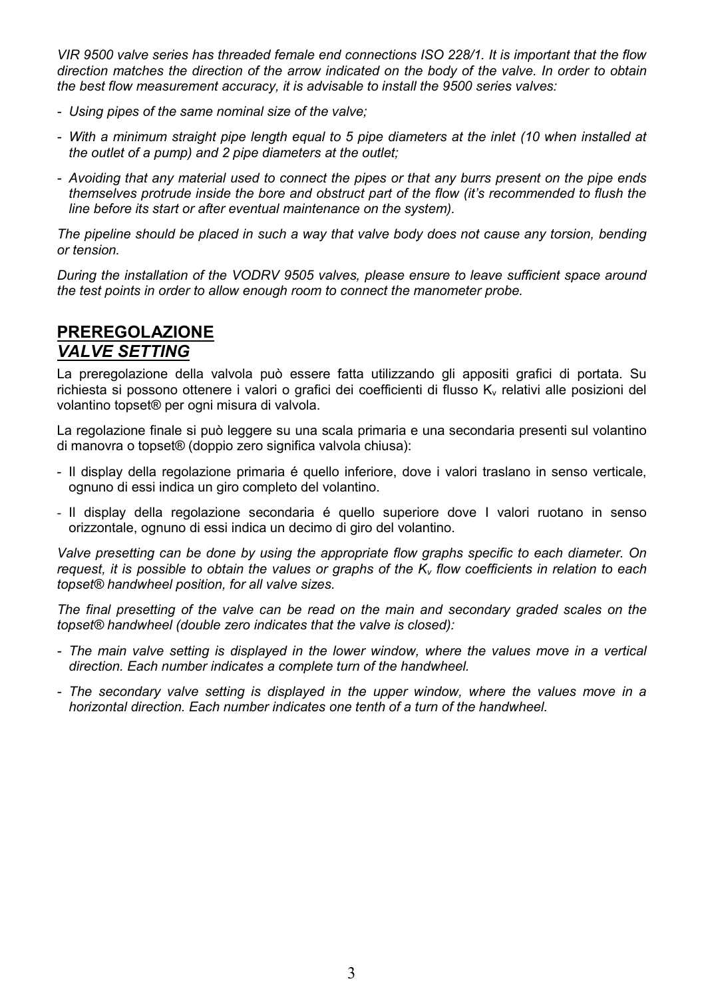*VIR 9500 valve series has threaded female end connections ISO 228/1. It is important that the flow direction matches the direction of the arrow indicated on the body of the valve. In order to obtain the best flow measurement accuracy, it is advisable to install the 9500 series valves:*

- *- Using pipes of the same nominal size of the valve;*
- *- With a minimum straight pipe length equal to 5 pipe diameters at the inlet (10 when installed at the outlet of a pump) and 2 pipe diameters at the outlet;*
- *- Avoiding that any material used to connect the pipes or that any burrs present on the pipe ends themselves protrude inside the bore and obstruct part of the flow (it's recommended to flush the line before its start or after eventual maintenance on the system).*

*The pipeline should be placed in such a way that valve body does not cause any torsion, bending or tension.*

*During the installation of the VODRV 9505 valves, please ensure to leave sufficient space around the test points in order to allow enough room to connect the manometer probe.*

#### **PREREGOLAZIONE** *VALVE SETTING*

La preregolazione della valvola può essere fatta utilizzando gli appositi grafici di portata. Su richiesta si possono ottenere i valori o grafici dei coefficienti di flusso K<sub>v</sub> relativi alle posizioni del volantino topset® per ogni misura di valvola.

La regolazione finale si può leggere su una scala primaria e una secondaria presenti sul volantino di manovra o topset® (doppio zero significa valvola chiusa):

- Il display della regolazione primaria é quello inferiore, dove i valori traslano in senso verticale, ognuno di essi indica un giro completo del volantino.
- Il display della regolazione secondaria é quello superiore dove I valori ruotano in senso orizzontale, ognuno di essi indica un decimo di giro del volantino.

*Valve presetting can be done by using the appropriate flow graphs specific to each diameter. On request, it is possible to obtain the values or graphs of the K<sup>v</sup> flow coefficients in relation to each topset® handwheel position, for all valve sizes.*

*The final presetting of the valve can be read on the main and secondary graded scales on the topset® handwheel (double zero indicates that the valve is closed):*

- *- The main valve setting is displayed in the lower window, where the values move in a vertical direction. Each number indicates a complete turn of the handwheel.*
- *- The secondary valve setting is displayed in the upper window, where the values move in a horizontal direction. Each number indicates one tenth of a turn of the handwheel.*